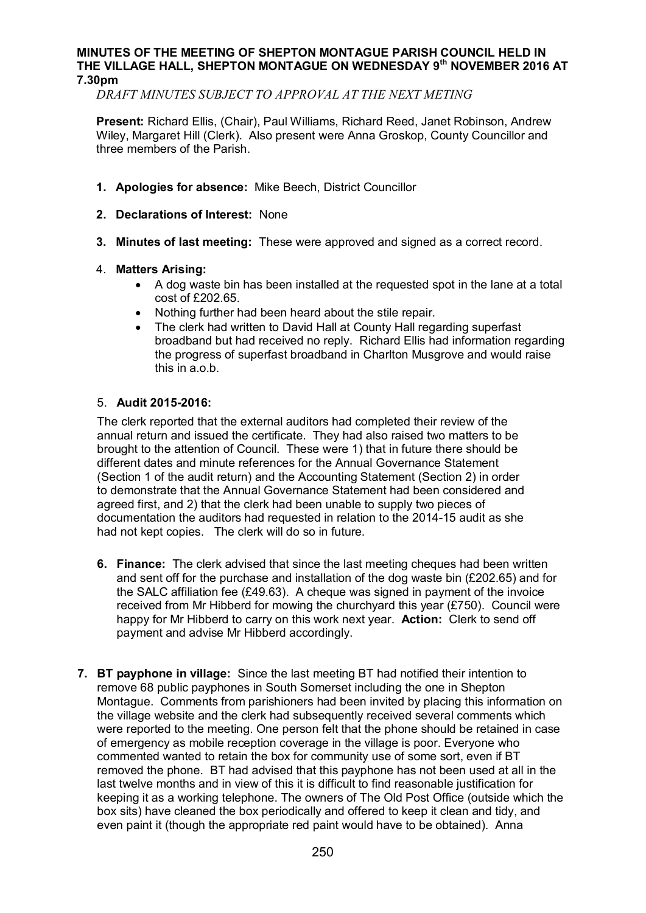### **MINUTES OF THE MEETING OF SHEPTON MONTAGUE PARISH COUNCIL HELD IN THE VILLAGE HALL, SHEPTON MONTAGUE ON WEDNESDAY 9th NOVEMBER 2016 AT 7.30pm**

*DRAFT MINUTES SUBJECT TO APPROVAL AT THE NEXT METING*

**Present:** Richard Ellis, (Chair), Paul Williams, Richard Reed, Janet Robinson, Andrew Wiley, Margaret Hill (Clerk). Also present were Anna Groskop, County Councillor and three members of the Parish.

- **1. Apologies for absence:** Mike Beech, District Councillor
- **2. Declarations of Interest:** None
- **3. Minutes of last meeting:** These were approved and signed as a correct record.

## 4. **Matters Arising:**

- · A dog waste bin has been installed at the requested spot in the lane at a total cost of £202.65.
- · Nothing further had been heard about the stile repair.
- The clerk had written to David Hall at County Hall regarding superfast broadband but had received no reply. Richard Ellis had information regarding the progress of superfast broadband in Charlton Musgrove and would raise this in a.o.b.

## 5. **Audit 2015-2016:**

The clerk reported that the external auditors had completed their review of the annual return and issued the certificate. They had also raised two matters to be brought to the attention of Council. These were 1) that in future there should be different dates and minute references for the Annual Governance Statement (Section 1 of the audit return) and the Accounting Statement (Section 2) in order to demonstrate that the Annual Governance Statement had been considered and agreed first, and 2) that the clerk had been unable to supply two pieces of documentation the auditors had requested in relation to the 2014-15 audit as she had not kept copies. The clerk will do so in future.

- **6. Finance:** The clerk advised that since the last meeting cheques had been written and sent off for the purchase and installation of the dog waste bin  $(F202.65)$  and for the SALC affiliation fee (£49.63). A cheque was signed in payment of the invoice received from Mr Hibberd for mowing the churchyard this year (£750). Council were happy for Mr Hibberd to carry on this work next year. **Action:** Clerk to send off payment and advise Mr Hibberd accordingly.
- **7. BT payphone in village:** Since the last meeting BT had notified their intention to remove 68 public payphones in South Somerset including the one in Shepton Montague. Comments from parishioners had been invited by placing this information on the village website and the clerk had subsequently received several comments which were reported to the meeting. One person felt that the phone should be retained in case of emergency as mobile reception coverage in the village is poor. Everyone who commented wanted to retain the box for community use of some sort, even if BT removed the phone. BT had advised that this payphone has not been used at all in the last twelve months and in view of this it is difficult to find reasonable justification for keeping it as a working telephone. The owners of The Old Post Office (outside which the box sits) have cleaned the box periodically and offered to keep it clean and tidy, and even paint it (though the appropriate red paint would have to be obtained). Anna